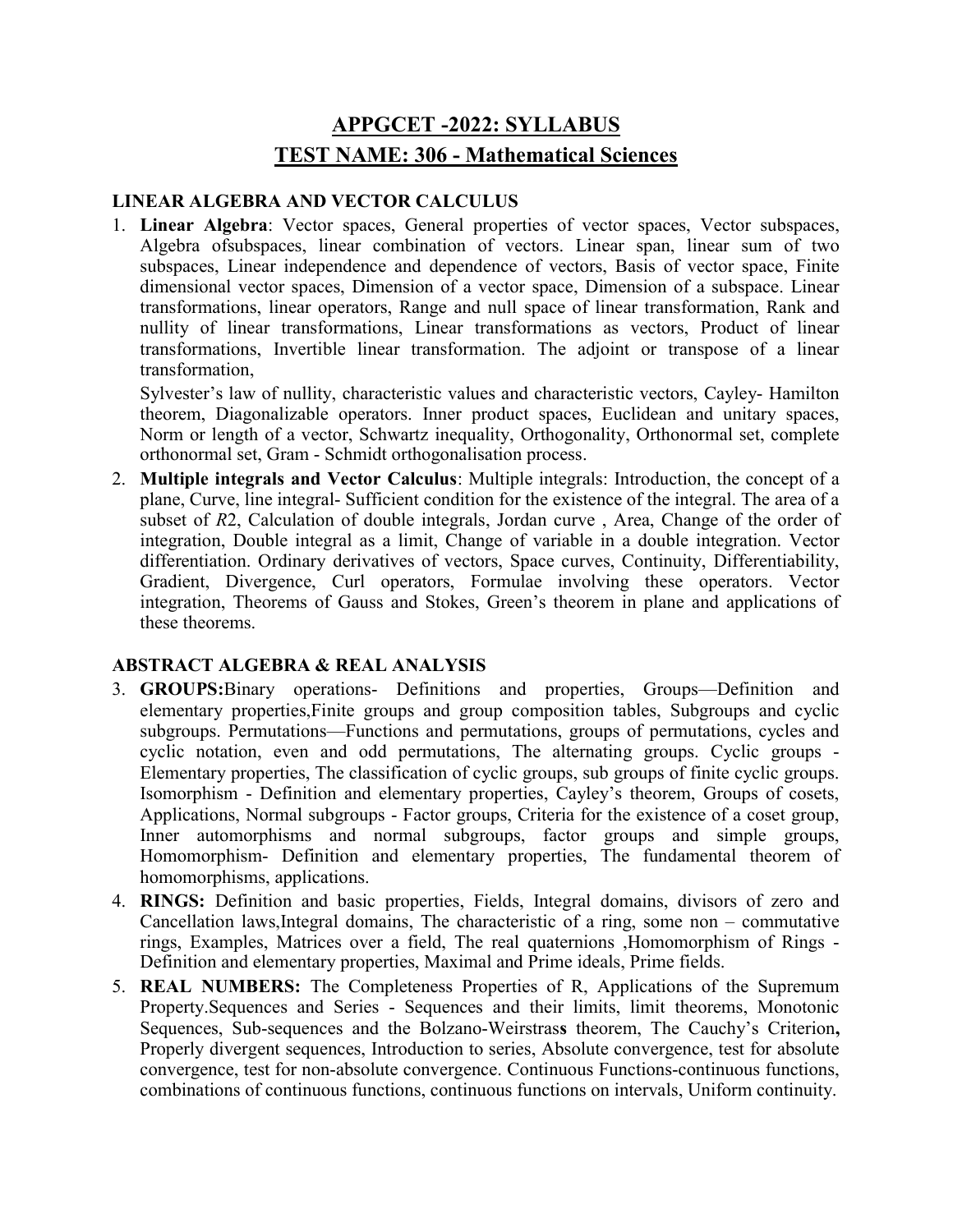# APPGCET -2022: SYLLABUS TEST NAME: 306 - Mathematical Sciences

## LINEAR ALGEBRA AND VECTOR CALCULUS

1. Linear Algebra: Vector spaces, General properties of vector spaces, Vector subspaces, Algebra ofsubspaces, linear combination of vectors. Linear span, linear sum of two subspaces, Linear independence and dependence of vectors, Basis of vector space, Finite dimensional vector spaces, Dimension of a vector space, Dimension of a subspace. Linear transformations, linear operators, Range and null space of linear transformation, Rank and nullity of linear transformations, Linear transformations as vectors, Product of linear transformations, Invertible linear transformation. The adjoint or transpose of a linear transformation,

Sylvester's law of nullity, characteristic values and characteristic vectors, Cayley- Hamilton theorem, Diagonalizable operators. Inner product spaces, Euclidean and unitary spaces, Norm or length of a vector, Schwartz inequality, Orthogonality, Orthonormal set, complete orthonormal set, Gram - Schmidt orthogonalisation process.

2. Multiple integrals and Vector Calculus: Multiple integrals: Introduction, the concept of a plane, Curve, line integral- Sufficient condition for the existence of the integral. The area of a subset of R2, Calculation of double integrals, Jordan curve , Area, Change of the order of integration, Double integral as a limit, Change of variable in a double integration. Vector differentiation. Ordinary derivatives of vectors, Space curves, Continuity, Differentiability, Gradient, Divergence, Curl operators, Formulae involving these operators. Vector integration, Theorems of Gauss and Stokes, Green's theorem in plane and applications of these theorems.

### ABSTRACT ALGEBRA & REAL ANALYSIS

- 3. GROUPS:Binary operations- Definitions and properties, Groups—Definition and elementary properties,Finite groups and group composition tables, Subgroups and cyclic subgroups. Permutations—Functions and permutations, groups of permutations, cycles and cyclic notation, even and odd permutations, The alternating groups. Cyclic groups - Elementary properties, The classification of cyclic groups, sub groups of finite cyclic groups. Isomorphism - Definition and elementary properties, Cayley's theorem, Groups of cosets, Applications, Normal subgroups - Factor groups, Criteria for the existence of a coset group, Inner automorphisms and normal subgroups, factor groups and simple groups, Homomorphism- Definition and elementary properties, The fundamental theorem of homomorphisms, applications.
- 4. RINGS: Definition and basic properties, Fields, Integral domains, divisors of zero and Cancellation laws,Integral domains, The characteristic of a ring, some non – commutative rings, Examples, Matrices over a field, The real quaternions ,Homomorphism of Rings - Definition and elementary properties, Maximal and Prime ideals, Prime fields.
- 5. REAL NUMBERS: The Completeness Properties of R, Applications of the Supremum Property.Sequences and Series - Sequences and their limits, limit theorems, Monotonic Sequences, Sub-sequences and the Bolzano-Weirstrass theorem, The Cauchy's Criterion, Properly divergent sequences, Introduction to series, Absolute convergence, test for absolute convergence, test for non-absolute convergence. Continuous Functions-continuous functions, combinations of continuous functions, continuous functions on intervals, Uniform continuity.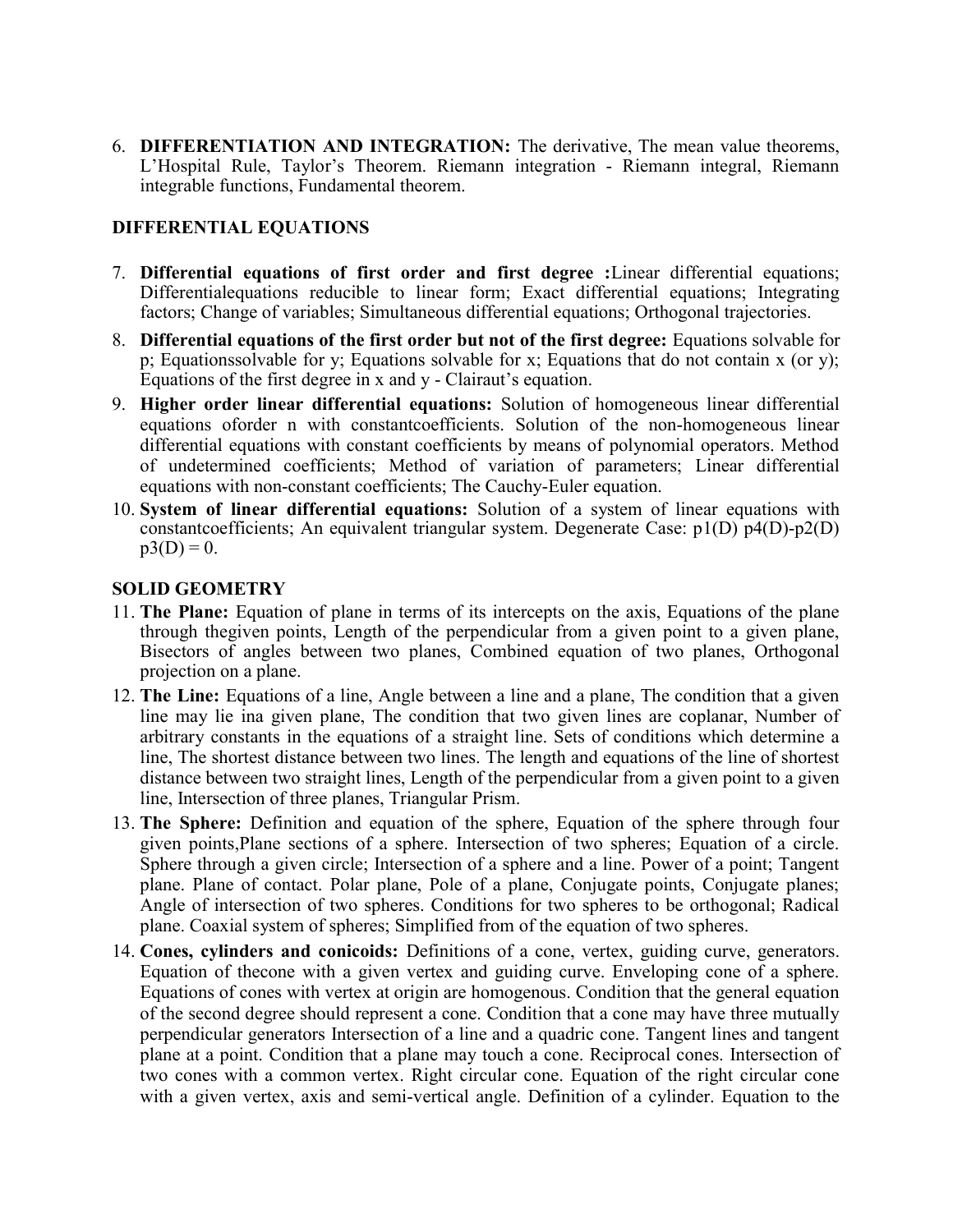6. DIFFERENTIATION AND INTEGRATION: The derivative, The mean value theorems, L'Hospital Rule, Taylor's Theorem. Riemann integration - Riemann integral, Riemann integrable functions, Fundamental theorem.

#### DIFFERENTIAL EQUATIONS

- 7. Differential equations of first order and first degree :Linear differential equations; Differentialequations reducible to linear form; Exact differential equations; Integrating factors; Change of variables; Simultaneous differential equations; Orthogonal trajectories.
- 8. Differential equations of the first order but not of the first degree: Equations solvable for p; Equationssolvable for y; Equations solvable for x; Equations that do not contain x (or y); Equations of the first degree in x and y - Clairaut's equation.
- 9. Higher order linear differential equations: Solution of homogeneous linear differential equations oforder n with constantcoefficients. Solution of the non-homogeneous linear differential equations with constant coefficients by means of polynomial operators. Method of undetermined coefficients; Method of variation of parameters; Linear differential equations with non-constant coefficients; The Cauchy-Euler equation.
- 10. System of linear differential equations: Solution of a system of linear equations with constantcoefficients; An equivalent triangular system. Degenerate Case: p1(D) p4(D)-p2(D)  $p3(D) = 0.$

#### SOLID GEOMETRY

- 11. The Plane: Equation of plane in terms of its intercepts on the axis, Equations of the plane through thegiven points, Length of the perpendicular from a given point to a given plane, Bisectors of angles between two planes, Combined equation of two planes, Orthogonal projection on a plane.
- 12. The Line: Equations of a line, Angle between a line and a plane, The condition that a given line may lie ina given plane, The condition that two given lines are coplanar, Number of arbitrary constants in the equations of a straight line. Sets of conditions which determine a line, The shortest distance between two lines. The length and equations of the line of shortest distance between two straight lines, Length of the perpendicular from a given point to a given line, Intersection of three planes, Triangular Prism.
- 13. The Sphere: Definition and equation of the sphere, Equation of the sphere through four given points,Plane sections of a sphere. Intersection of two spheres; Equation of a circle. Sphere through a given circle; Intersection of a sphere and a line. Power of a point; Tangent plane. Plane of contact. Polar plane, Pole of a plane, Conjugate points, Conjugate planes; Angle of intersection of two spheres. Conditions for two spheres to be orthogonal; Radical plane. Coaxial system of spheres; Simplified from of the equation of two spheres.
- 14. Cones, cylinders and conicoids: Definitions of a cone, vertex, guiding curve, generators. Equation of thecone with a given vertex and guiding curve. Enveloping cone of a sphere. Equations of cones with vertex at origin are homogenous. Condition that the general equation of the second degree should represent a cone. Condition that a cone may have three mutually perpendicular generators Intersection of a line and a quadric cone. Tangent lines and tangent plane at a point. Condition that a plane may touch a cone. Reciprocal cones. Intersection of two cones with a common vertex. Right circular cone. Equation of the right circular cone with a given vertex, axis and semi-vertical angle. Definition of a cylinder. Equation to the